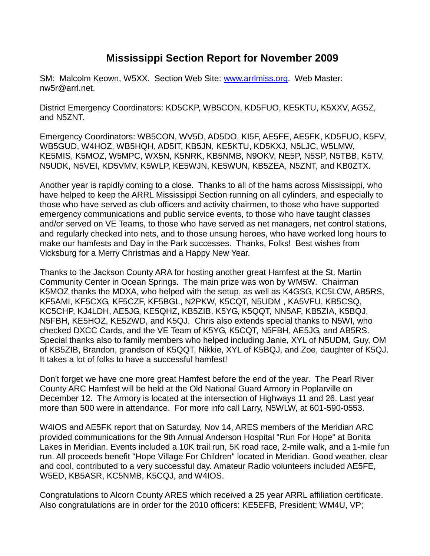## **Mississippi Section Report for November 2009**

SM: Malcolm Keown, W5XX. Section Web Site: [www.arrlmiss.org.](http://www.arrlmiss.org/) Web Master: nw5r@arrl.net.

District Emergency Coordinators: KD5CKP, WB5CON, KD5FUO, KE5KTU, K5XXV, AG5Z, and N5ZNT.

Emergency Coordinators: WB5CON, WV5D, AD5DO, KI5F, AE5FE, AE5FK, KD5FUO, K5FV, WB5GUD, W4HOZ, WB5HQH, AD5IT, KB5JN, KE5KTU, KD5KXJ, N5LJC, W5LMW, KE5MIS, K5MOZ, W5MPC, WX5N, K5NRK, KB5NMB, N9OKV, NE5P, N5SP, N5TBB, K5TV, N5UDK, N5VEI, KD5VMV, K5WLP, KE5WJN, KE5WUN, KB5ZEA, N5ZNT, and KB0ZTX.

Another year is rapidly coming to a close. Thanks to all of the hams across Mississippi, who have helped to keep the ARRL Mississippi Section running on all cylinders, and especially to those who have served as club officers and activity chairmen, to those who have supported emergency communications and public service events, to those who have taught classes and/or served on VE Teams, to those who have served as net managers, net control stations, and regularly checked into nets, and to those unsung heroes, who have worked long hours to make our hamfests and Day in the Park successes. Thanks, Folks! Best wishes from Vicksburg for a Merry Christmas and a Happy New Year.

Thanks to the Jackson County ARA for hosting another great Hamfest at the St. Martin Community Center in Ocean Springs. The main prize was won by WM5W. Chairman K5MOZ thanks the MDXA, who helped with the setup, as well as K4GSG, KC5LCW, AB5RS, KF5AMI, KF5CXG, KF5CZF, KF5BGL, N2PKW, K5CQT, N5UDM , KA5VFU, KB5CSQ, KC5CHP, KJ4LDH, AE5JG, KE5QHZ, KB5ZIB, K5YG, K5QQT, NN5AF, KB5ZIA, K5BQJ, N5FBH, KE5HOZ, KE5ZWD, and K5QJ. Chris also extends special thanks to N5WI, who checked DXCC Cards, and the VE Team of K5YG, K5CQT, N5FBH, AE5JG, and AB5RS. Special thanks also to family members who helped including Janie, XYL of N5UDM, Guy, OM of KB5ZIB, Brandon, grandson of K5QQT, Nikkie, XYL of K5BQJ, and Zoe, daughter of K5QJ. It takes a lot of folks to have a successful hamfest!

Don't forget we have one more great Hamfest before the end of the year. The Pearl River County ARC Hamfest will be held at the Old National Guard Armory in Poplarville on December 12. The Armory is located at the intersection of Highways 11 and 26. Last year more than 500 were in attendance. For more info call Larry, N5WLW, at 601-590-0553.

W4IOS and AE5FK report that on Saturday, Nov 14, ARES members of the Meridian ARC provided communications for the 9th Annual Anderson Hospital "Run For Hope" at Bonita Lakes in Meridian. Events included a 10K trail run, 5K road race, 2-mile walk, and a 1-mile fun run. All proceeds benefit "Hope Village For Children" located in Meridian. Good weather, clear and cool, contributed to a very successful day. Amateur Radio volunteers included AE5FE, W5ED, KB5ASR, KC5NMB, K5CQJ, and W4IOS.

Congratulations to Alcorn County ARES which received a 25 year ARRL affiliation certificate. Also congratulations are in order for the 2010 officers: KE5EFB, President; WM4U, VP;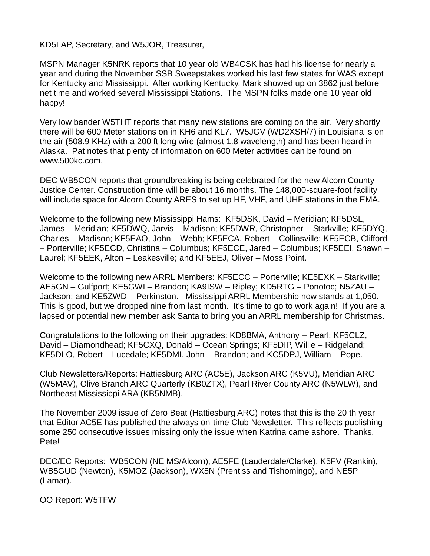KD5LAP, Secretary, and W5JOR, Treasurer,

MSPN Manager K5NRK reports that 10 year old WB4CSK has had his license for nearly a year and during the November SSB Sweepstakes worked his last few states for WAS except for Kentucky and Mississippi. After working Kentucky, Mark showed up on 3862 just before net time and worked several Mississippi Stations. The MSPN folks made one 10 year old happy!

Very low bander W5THT reports that many new stations are coming on the air. Very shortly there will be 600 Meter stations on in KH6 and KL7. W5JGV (WD2XSH/7) in Louisiana is on the air (508.9 KHz) with a 200 ft long wire (almost 1.8 wavelength) and has been heard in Alaska. Pat notes that plenty of information on 600 Meter activities can be found on www.500kc.com.

DEC WB5CON reports that groundbreaking is being celebrated for the new Alcorn County Justice Center. Construction time will be about 16 months. The 148,000-square-foot facility will include space for Alcorn County ARES to set up HF, VHF, and UHF stations in the EMA.

Welcome to the following new Mississippi Hams: KF5DSK, David – Meridian; KF5DSL, James – Meridian; KF5DWQ, Jarvis – Madison; KF5DWR, Christopher – Starkville; KF5DYQ, Charles – Madison; KF5EAO, John – Webb; KF5ECA, Robert – Collinsville; KF5ECB, Clifford – Porterville; KF5ECD, Christina – Columbus; KF5ECE, Jared – Columbus; KF5EEI, Shawn – Laurel; KF5EEK, Alton – Leakesville; and KF5EEJ, Oliver – Moss Point.

Welcome to the following new ARRL Members: KF5ECC – Porterville; KE5EXK – Starkville; AE5GN – Gulfport; KE5GWI – Brandon; KA9ISW – Ripley; KD5RTG – Ponotoc; N5ZAU – Jackson; and KE5ZWD – Perkinston. Mississippi ARRL Membership now stands at 1,050. This is good, but we dropped nine from last month. It's time to go to work again! If you are a lapsed or potential new member ask Santa to bring you an ARRL membership for Christmas.

Congratulations to the following on their upgrades: KD8BMA, Anthony – Pearl; KF5CLZ, David – Diamondhead; KF5CXQ, Donald – Ocean Springs; KF5DIP, Willie – Ridgeland; KF5DLO, Robert – Lucedale; KF5DMI, John – Brandon; and KC5DPJ, William – Pope.

Club Newsletters/Reports: Hattiesburg ARC (AC5E), Jackson ARC (K5VU), Meridian ARC (W5MAV), Olive Branch ARC Quarterly (KB0ZTX), Pearl River County ARC (N5WLW), and Northeast Mississippi ARA (KB5NMB).

The November 2009 issue of Zero Beat (Hattiesburg ARC) notes that this is the 20 th year that Editor AC5E has published the always on-time Club Newsletter. This reflects publishing some 250 consecutive issues missing only the issue when Katrina came ashore. Thanks, Pete!

DEC/EC Reports: WB5CON (NE MS/Alcorn), AE5FE (Lauderdale/Clarke), K5FV (Rankin), WB5GUD (Newton), K5MOZ (Jackson), WX5N (Prentiss and Tishomingo), and NE5P (Lamar).

OO Report: W5TFW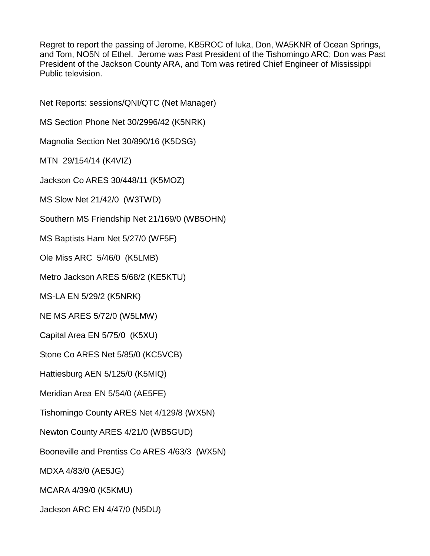Regret to report the passing of Jerome, KB5ROC of Iuka, Don, WA5KNR of Ocean Springs, and Tom, NO5N of Ethel. Jerome was Past President of the Tishomingo ARC; Don was Past President of the Jackson County ARA, and Tom was retired Chief Engineer of Mississippi Public television.

Net Reports: sessions/QNI/QTC (Net Manager) MS Section Phone Net 30/2996/42 (K5NRK) Magnolia Section Net 30/890/16 (K5DSG) MTN 29/154/14 (K4VIZ) Jackson Co ARES 30/448/11 (K5MOZ) MS Slow Net 21/42/0 (W3TWD) Southern MS Friendship Net 21/169/0 (WB5OHN) MS Baptists Ham Net 5/27/0 (WF5F) Ole Miss ARC 5/46/0 (K5LMB) Metro Jackson ARES 5/68/2 (KE5KTU) MS-LA EN 5/29/2 (K5NRK) NE MS ARES 5/72/0 (W5LMW) Capital Area EN 5/75/0 (K5XU) Stone Co ARES Net 5/85/0 (KC5VCB) Hattiesburg AEN 5/125/0 (K5MIQ) Meridian Area EN 5/54/0 (AE5FE) Tishomingo County ARES Net 4/129/8 (WX5N) Newton County ARES 4/21/0 (WB5GUD) Booneville and Prentiss Co ARES 4/63/3 (WX5N) MDXA 4/83/0 (AE5JG) MCARA 4/39/0 (K5KMU)

Jackson ARC EN 4/47/0 (N5DU)